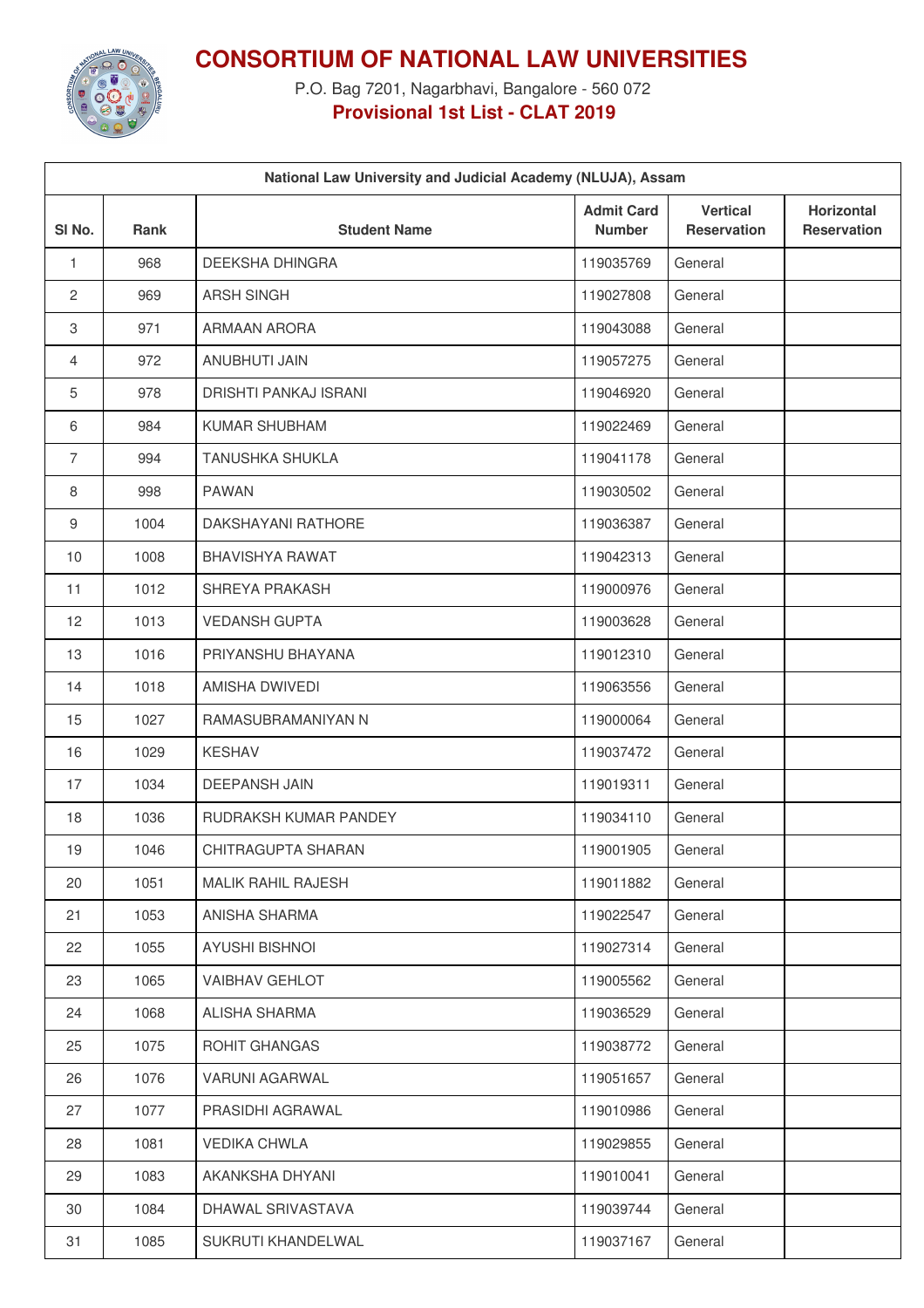

## **CONSORTIUM OF NATIONAL LAW UNIVERSITIES**

P.O. Bag 7201, Nagarbhavi, Bangalore - 560 072 **Provisional 1st List - CLAT 2019**

| National Law University and Judicial Academy (NLUJA), Assam |      |                           |                                    |                                       |                                         |  |  |  |  |
|-------------------------------------------------------------|------|---------------------------|------------------------------------|---------------------------------------|-----------------------------------------|--|--|--|--|
| SI <sub>No.</sub>                                           | Rank | <b>Student Name</b>       | <b>Admit Card</b><br><b>Number</b> | <b>Vertical</b><br><b>Reservation</b> | <b>Horizontal</b><br><b>Reservation</b> |  |  |  |  |
| 1                                                           | 968  | DEEKSHA DHINGRA           | 119035769                          | General                               |                                         |  |  |  |  |
| $\mathbf{2}$                                                | 969  | <b>ARSH SINGH</b>         | 119027808                          | General                               |                                         |  |  |  |  |
| $\,3$                                                       | 971  | ARMAAN ARORA              | 119043088                          | General                               |                                         |  |  |  |  |
| 4                                                           | 972  | ANUBHUTI JAIN             | 119057275                          | General                               |                                         |  |  |  |  |
| 5                                                           | 978  | DRISHTI PANKAJ ISRANI     | 119046920                          | General                               |                                         |  |  |  |  |
| 6                                                           | 984  | KUMAR SHUBHAM             | 119022469                          | General                               |                                         |  |  |  |  |
| $\overline{7}$                                              | 994  | <b>TANUSHKA SHUKLA</b>    | 119041178                          | General                               |                                         |  |  |  |  |
| 8                                                           | 998  | <b>PAWAN</b>              | 119030502                          | General                               |                                         |  |  |  |  |
| $\boldsymbol{9}$                                            | 1004 | DAKSHAYANI RATHORE        | 119036387                          | General                               |                                         |  |  |  |  |
| 10                                                          | 1008 | <b>BHAVISHYA RAWAT</b>    | 119042313                          | General                               |                                         |  |  |  |  |
| 11                                                          | 1012 | SHREYA PRAKASH            | 119000976                          | General                               |                                         |  |  |  |  |
| 12                                                          | 1013 | <b>VEDANSH GUPTA</b>      | 119003628                          | General                               |                                         |  |  |  |  |
| 13                                                          | 1016 | PRIYANSHU BHAYANA         | 119012310                          | General                               |                                         |  |  |  |  |
| 14                                                          | 1018 | AMISHA DWIVEDI            | 119063556                          | General                               |                                         |  |  |  |  |
| 15                                                          | 1027 | RAMASUBRAMANIYAN N        | 119000064                          | General                               |                                         |  |  |  |  |
| 16                                                          | 1029 | <b>KESHAV</b>             | 119037472                          | General                               |                                         |  |  |  |  |
| 17                                                          | 1034 | <b>DEEPANSH JAIN</b>      | 119019311                          | General                               |                                         |  |  |  |  |
| 18                                                          | 1036 | RUDRAKSH KUMAR PANDEY     | 119034110                          | General                               |                                         |  |  |  |  |
| 19                                                          | 1046 | CHITRAGUPTA SHARAN        | 119001905                          | General                               |                                         |  |  |  |  |
| 20                                                          | 1051 | <b>MALIK RAHIL RAJESH</b> | 119011882                          | General                               |                                         |  |  |  |  |
| 21                                                          | 1053 | ANISHA SHARMA             | 119022547                          | General                               |                                         |  |  |  |  |
| 22                                                          | 1055 | <b>AYUSHI BISHNOI</b>     | 119027314                          | General                               |                                         |  |  |  |  |
| 23                                                          | 1065 | <b>VAIBHAV GEHLOT</b>     | 119005562                          | General                               |                                         |  |  |  |  |
| 24                                                          | 1068 | ALISHA SHARMA             | 119036529                          | General                               |                                         |  |  |  |  |
| 25                                                          | 1075 | ROHIT GHANGAS             | 119038772                          | General                               |                                         |  |  |  |  |
| 26                                                          | 1076 | VARUNI AGARWAL            | 119051657                          | General                               |                                         |  |  |  |  |
| 27                                                          | 1077 | PRASIDHI AGRAWAL          | 119010986                          | General                               |                                         |  |  |  |  |
| 28                                                          | 1081 | <b>VEDIKA CHWLA</b>       | 119029855                          | General                               |                                         |  |  |  |  |
| 29                                                          | 1083 | AKANKSHA DHYANI           | 119010041                          | General                               |                                         |  |  |  |  |
| 30                                                          | 1084 | DHAWAL SRIVASTAVA         | 119039744                          | General                               |                                         |  |  |  |  |
| 31                                                          | 1085 | SUKRUTI KHANDELWAL        | 119037167                          | General                               |                                         |  |  |  |  |